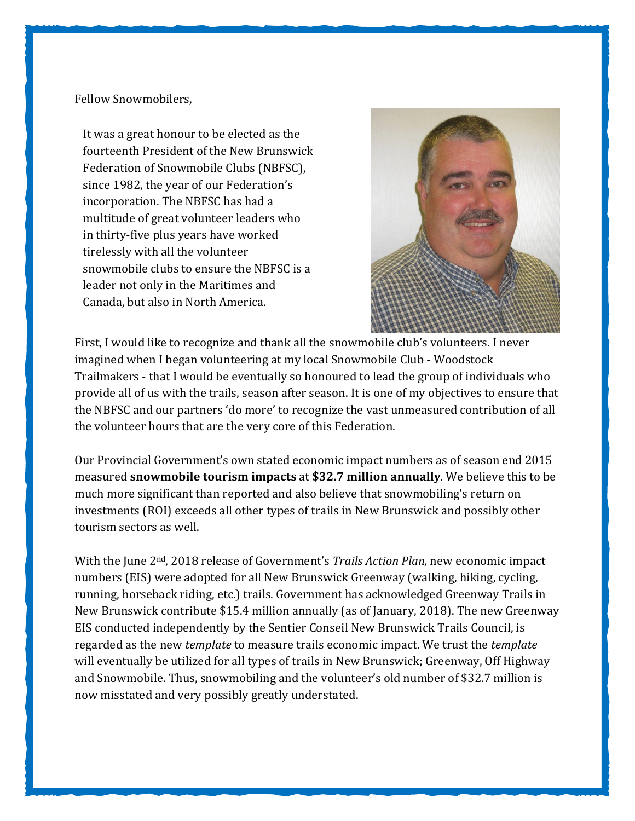Fellow Snowmobilers,

It was a great honour to be elected as the fourteenth President of the New Brunswick Federation of Snowmobile Clubs (NBFSC), since 1982, the year of our Federation's incorporation. The NBFSC has had a multitude of great volunteer leaders who in thirty-five plus years have worked tirelessly with all the volunteer snowmobile clubs to ensure the NBFSC is a leader not only in the Maritimes and Canada, but also in North America.



First, I would like to recognize and thank all the snowmobile club's volunteers. I never imagined when I began volunteering at my local Snowmobile Club - Woodstock Trailmakers - that I would be eventually so honoured to lead the group of individuals who provide all of us with the trails, season after season. It is one of my objectives to ensure that the NBFSC and our partners 'do more' to recognize the vast unmeasured contribution of all the volunteer hours that are the very core of this Federation.

Our Provincial Government's own stated economic impact numbers as of season end 2015 measured snowmobile tourism impacts at \$32.7 million annually. We believe this to be much more significant than reported and also believe that snowmobiling's return on investments (ROI) exceeds all other types of trails in New Brunswick and possibly other tourism sectors as well.

With the June  $2<sup>nd</sup>$ , 2018 release of Government's *Trails Action Plan*, new economic impact numbers (EIS) were adopted for all New Brunswick Greenway (walking, hiking, cycling, running, horseback riding, etc.) trails. Government has acknowledged Greenway Trails in New Brunswick contribute \$15.4 million annually (as of January, 2018). The new Greenway EIS conducted independently by the Sentier Conseil New Brunswick Trails Council, is regarded as the new template to measure trails economic impact. We trust the template will eventually be utilized for all types of trails in New Brunswick; Greenway, Off Highway and Snowmobile. Thus, snowmobiling and the volunteer's old number of \$32.7 million is now misstated and very possibly greatly understated.